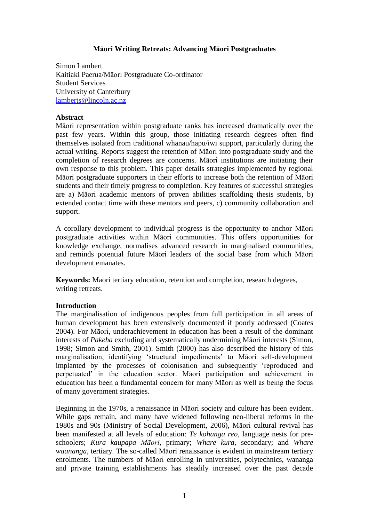# **Māori Writing Retreats: Advancing Māori Postgraduates**

Simon Lambert Kaitiaki Paerua/Māori Postgraduate Co-ordinator Student Services University of Canterbury [lamberts@lincoln.ac.nz](mailto:lamberts@lincoln.ac.nz)

#### **Abstract**

Māori representation within postgraduate ranks has increased dramatically over the past few years. Within this group, those initiating research degrees often find themselves isolated from traditional whanau/hapu/iwi support, particularly during the actual writing. Reports suggest the retention of Māori into postgraduate study and the completion of research degrees are concerns. Māori institutions are initiating their own response to this problem. This paper details strategies implemented by regional Māori postgraduate supporters in their efforts to increase both the retention of Māori students and their timely progress to completion. Key features of successful strategies are a) Māori academic mentors of proven abilities scaffolding thesis students, b) extended contact time with these mentors and peers, c) community collaboration and support.

A corollary development to individual progress is the opportunity to anchor Māori postgraduate activities within Māori communities. This offers opportunities for knowledge exchange, normalises advanced research in marginalised communities, and reminds potential future Māori leaders of the social base from which Māori development emanates.

**Keywords:** Maori tertiary education, retention and completion, research degrees, writing retreats.

# **Introduction**

The marginalisation of indigenous peoples from full participation in all areas of human development has been extensively documented if poorly addressed (Coates 2004). For Māori, underachievement in education has been a result of the dominant interests of *Pakeha* excluding and systematically undermining Māori interests (Simon, 1998; Simon and Smith, 2001). Smith (2000) has also described the history of this marginalisation, identifying "structural impediments" to Māori self-development implanted by the processes of colonisation and subsequently "reproduced and perpetuated" in the education sector. Māori participation and achievement in education has been a fundamental concern for many Māori as well as being the focus of many government strategies.

Beginning in the 1970s, a renaissance in Māori society and culture has been evident. While gaps remain, and many have widened following neo-liberal reforms in the 1980s and 90s (Ministry of Social Development, 2006), Māori cultural revival has been manifested at all levels of education: *Te kohanga reo*, language nests for preschoolers; *Kura kaupapa Māori*, primary; *Whare kura*, secondary; and *Whare waananga*, tertiary. The so-called Māori renaissance is evident in mainstream tertiary enrolments. The numbers of Māori enrolling in universities, polytechnics, wananga and private training establishments has steadily increased over the past decade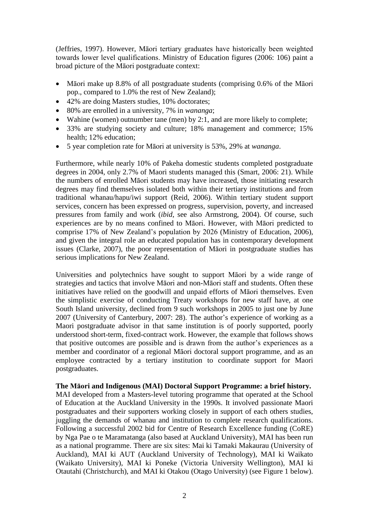(Jeffries, 1997). However, Māori tertiary graduates have historically been weighted towards lower level qualifications. Ministry of Education figures (2006: 106) paint a broad picture of the Māori postgraduate context:

- Māori make up 8.8% of all postgraduate students (comprising 0.6% of the Māori pop., compared to 1.0% the rest of New Zealand);
- 42% are doing Masters studies, 10% doctorates;
- 80% are enrolled in a university, 7% in *wananga*;
- Wahine (women) outnumber tane (men) by 2:1, and are more likely to complete;
- 33% are studying society and culture; 18% management and commerce; 15% health; 12% education;
- 5 year completion rate for Māori at university is 53%, 29% at *wananga*.

Furthermore, while nearly 10% of Pakeha domestic students completed postgraduate degrees in 2004, only 2.7% of Maori students managed this (Smart, 2006: 21). While the numbers of enrolled Māori students may have increased, those initiating research degrees may find themselves isolated both within their tertiary institutions and from traditional whanau/hapu/iwi support (Reid, 2006). Within tertiary student support services, concern has been expressed on progress, supervision, poverty, and increased pressures from family and work (*ibid*, see also Armstrong, 2004). Of course, such experiences are by no means confined to Māori. However, with Māori predicted to comprise 17% of New Zealand"s population by 2026 (Ministry of Education, 2006), and given the integral role an educated population has in contemporary development issues (Clarke, 2007), the poor representation of Māori in postgraduate studies has serious implications for New Zealand.

Universities and polytechnics have sought to support Māori by a wide range of strategies and tactics that involve Māori and non-Māori staff and students. Often these initiatives have relied on the goodwill and unpaid efforts of Māori themselves. Even the simplistic exercise of conducting Treaty workshops for new staff have, at one South Island university, declined from 9 such workshops in 2005 to just one by June 2007 (University of Canterbury, 2007: 28). The author"s experience of working as a Maori postgraduate advisor in that same institution is of poorly supported, poorly understood short-term, fixed-contract work. However, the example that follows shows that positive outcomes are possible and is drawn from the author"s experiences as a member and coordinator of a regional Māori doctoral support programme, and as an employee contracted by a tertiary institution to coordinate support for Maori postgraduates.

# **The Māori and Indigenous (MAI) Doctoral Support Programme: a brief history.**

MAI developed from a Masters-level tutoring programme that operated at the School of Education at the Auckland University in the 1990s. It involved passionate Maori postgraduates and their supporters working closely in support of each others studies, juggling the demands of whanau and institution to complete research qualifications. Following a successful 2002 bid for Centre of Research Excellence funding (CoRE) by Nga Pae o te Maramatanga (also based at Auckland University), MAI has been run as a national programme. There are six sites: Mai ki Tamaki Makaurau (University of Auckland), MAI ki AUT (Auckland University of Technology), MAI ki Waikato (Waikato University), MAI ki Poneke (Victoria University Wellington), MAI ki Otautahi (Christchurch), and MAI ki Otakou (Otago University) (see Figure 1 below).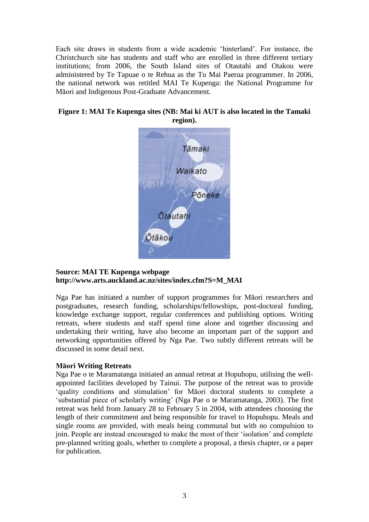Each site draws in students from a wide academic "hinterland". For instance, the Christchurch site has students and staff who are enrolled in three different tertiary institutions; from 2006, the South Island sites of Otautahi and Otakou were administered by Te Tapuae o te Rehua as the Tu Mai Paerua programmer. In 2006, the national network was retitled MAI Te Kupenga: the National Programme for Māori and Indigenous Post-Graduate Advancement.

# **Figure 1: MAI Te Kupenga sites (NB: Mai ki AUT is also located in the Tamaki region).**



# **Source: MAI TE Kupenga webpage http://www.arts.auckland.ac.nz/sites/index.cfm?S=M\_MAI**

Nga Pae has initiated a number of support programmes for Māori researchers and postgraduates, research funding, scholarships/fellowships, post-doctoral funding, knowledge exchange support, regular conferences and publishing options. Writing retreats, where students and staff spend time alone and together discussing and undertaking their writing, have also become an important part of the support and networking opportunities offered by Nga Pae. Two subtly different retreats will be discussed in some detail next.

# **Māori Writing Retreats**

Nga Pae o te Maramatanga initiated an annual retreat at Hopuhopu, utilising the wellappointed facilities developed by Tainui. The purpose of the retreat was to provide "quality conditions and stimulation" for Māori doctoral students to complete a 'substantial piece of scholarly writing' (Nga Pae o te Maramatanga, 2003). The first retreat was held from January 28 to February 5 in 2004, with attendees choosing the length of their commitment and being responsible for travel to Hopuhopu. Meals and single rooms are provided, with meals being communal but with no compulsion to join. People are instead encouraged to make the most of their "isolation" and complete pre-planned writing goals, whether to complete a proposal, a thesis chapter, or a paper for publication.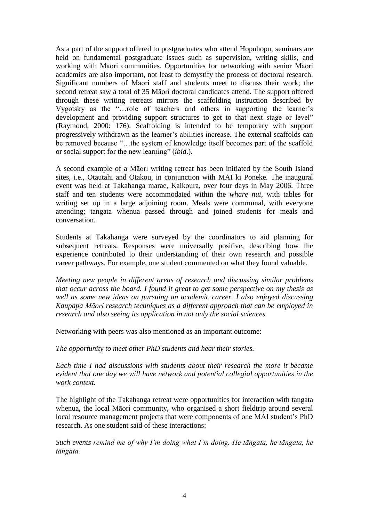As a part of the support offered to postgraduates who attend Hopuhopu, seminars are held on fundamental postgraduate issues such as supervision, writing skills, and working with Māori communities. Opportunities for networking with senior Māori academics are also important, not least to demystify the process of doctoral research. Significant numbers of Māori staff and students meet to discuss their work; the second retreat saw a total of 35 Māori doctoral candidates attend. The support offered through these writing retreats mirrors the scaffolding instruction described by Vygotsky as the "…role of teachers and others in supporting the learner"s development and providing support structures to get to that next stage or level" (Raymond, 2000: 176). Scaffolding is intended to be temporary with support progressively withdrawn as the learner"s abilities increase. The external scaffolds can be removed because "…the system of knowledge itself becomes part of the scaffold or social support for the new learning" (*ibid*.).

A second example of a Māori writing retreat has been initiated by the South Island sites, i.e., Otautahi and Otakou, in conjunction with MAI ki Poneke. The inaugural event was held at Takahanga marae, Kaikoura, over four days in May 2006. Three staff and ten students were accommodated within the *whare nui*, with tables for writing set up in a large adjoining room. Meals were communal, with everyone attending; tangata whenua passed through and joined students for meals and conversation.

Students at Takahanga were surveyed by the coordinators to aid planning for subsequent retreats. Responses were universally positive, describing how the experience contributed to their understanding of their own research and possible career pathways. For example, one student commented on what they found valuable.

*Meeting new people in different areas of research and discussing similar problems that occur across the board. I found it great to get some perspective on my thesis as well as some new ideas on pursuing an academic career. I also enjoyed discussing Kaupapa Māori research techniques as a different approach that can be employed in research and also seeing its application in not only the social sciences.* 

Networking with peers was also mentioned as an important outcome:

*The opportunity to meet other PhD students and hear their stories.* 

*Each time I had discussions with students about their research the more it became evident that one day we will have network and potential collegial opportunities in the work context.* 

The highlight of the Takahanga retreat were opportunities for interaction with tangata whenua, the local Māori community, who organised a short fieldtrip around several local resource management projects that were components of one MAI student's PhD research. As one student said of these interactions:

*Such events remind me of why I'm doing what I'm doing. He tāngata, he tāngata, he tāngata.*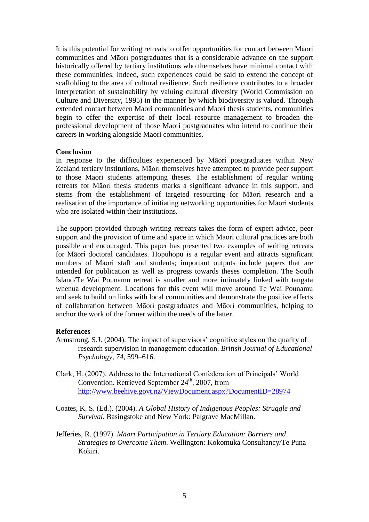It is this potential for writing retreats to offer opportunities for contact between Māori communities and Māori postgraduates that is a considerable advance on the support historically offered by tertiary institutions who themselves have minimal contact with these communities. Indeed, such experiences could be said to extend the concept of scaffolding to the area of cultural resilience. Such resilience contributes to a broader interpretation of sustainability by valuing cultural diversity (World Commission on Culture and Diversity, 1995) in the manner by which biodiversity is valued. Through extended contact between Maori communities and Maori thesis students, communities begin to offer the expertise of their local resource management to broaden the professional development of those Maori postgraduates who intend to continue their careers in working alongside Maori communities.

#### **Conclusion**

In response to the difficulties experienced by Māori postgraduates within New Zealand tertiary institutions, Māori themselves have attempted to provide peer support to those Maori students attempting theses. The establishment of regular writing retreats for Māori thesis students marks a significant advance in this support, and stems from the establishment of targeted resourcing for Māori research and a realisation of the importance of initiating networking opportunities for Māori students who are isolated within their institutions.

The support provided through writing retreats takes the form of expert advice, peer support and the provision of time and space in which Maori cultural practices are both possible and encouraged. This paper has presented two examples of writing retreats for Māori doctoral candidates. Hopuhopu is a regular event and attracts significant numbers of Māori staff and students; important outputs include papers that are intended for publication as well as progress towards theses completion. The South Island/Te Wai Pounamu retreat is smaller and more intimately linked with tangata whenua development. Locations for this event will move around Te Wai Pounamu and seek to build on links with local communities and demonstrate the positive effects of collaboration between Māori postgraduates and Māori communities, helping to anchor the work of the former within the needs of the latter.

# **References**

- Armstrong, S.J. (2004). The impact of supervisors' cognitive styles on the quality of research supervision in management education. *British Journal of Educational Psychology, 74*, 599–616.
- Clark, H. (2007). Address to the International Confederation of Principals" World Convention. Retrieved September  $24<sup>th</sup>$ , 2007, from <http://www.beehive.govt.nz/ViewDocument.aspx?DocumentID=28974>
- Coates, K. S. (Ed.). (2004). *A Global History of Indigenous Peoples: Struggle and Survival*. Basingstoke and New York: Palgrave MacMillan.
- Jefferies, R. (1997). *Māori Participation in Tertiary Education: Barriers and Strategies to Overcome Them*. Wellington: Kokomuka Consultancy/Te Puna Kokiri.